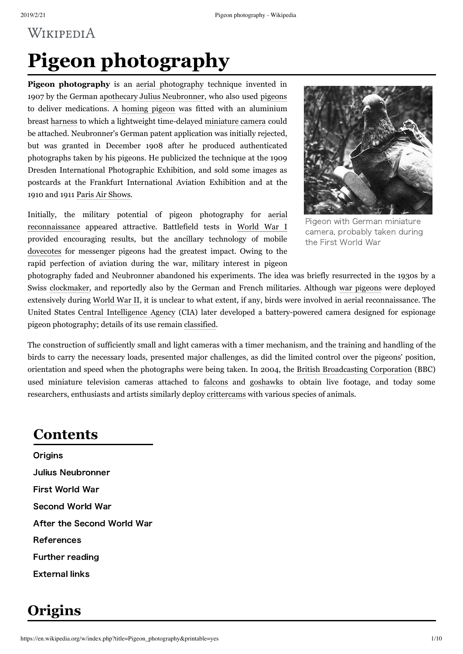# WIKIPEDIA

# **Pigeon photography**

**Pigeon photography** is an aerial [photography](https://en.wikipedia.org/wiki/Aerial_photography) technique invented in 1907 by the German [apothecary](https://en.wikipedia.org/wiki/Apothecary) Julius [Neubronner,](https://en.wikipedia.org/wiki/Julius_Neubronner) who also used [pigeons](https://en.wikipedia.org/wiki/Pigeon_post) to deliver medications. A [homing](https://en.wikipedia.org/wiki/Homing_pigeon) pigeon was fitted with an aluminium breast [harness](https://en.wikipedia.org/wiki/Parrot_harness) to which a lightweight time-delayed [miniature](https://en.wikipedia.org/wiki/Subminiature_photography) camera could be attached. Neubronner's German patent application was initially rejected, but was granted in December 1908 after he produced authenticated photographs taken by his pigeons. He publicized the technique at the 1909 Dresden International Photographic Exhibition, and sold some images as postcards at the Frankfurt International Aviation Exhibition and at the 1910 and 1911 Paris Air [Shows.](https://en.wikipedia.org/wiki/Paris_Air_Show)

Initially, the military potential of pigeon photography for aerial [reconnaissance](https://en.wikipedia.org/wiki/Aerial_reconnaissance) appeared attractive. Battlefield tests in [World](https://en.wikipedia.org/wiki/World_War_I) War I provided encouraging results, but the ancillary technology of mobile [dovecotes](https://en.wikipedia.org/wiki/Dovecote) for messenger pigeons had the greatest impact. Owing to the rapid perfection of aviation during the war, military interest in pigeon



Pigeon with German miniature camera, probably taken during the First World War

photography faded and Neubronner abandoned his experiments. The idea was briefly resurrected in the 1930s by a Swiss [clockmaker,](https://en.wikipedia.org/wiki/Clockmaker) and reportedly also by the German and French militaries. Although war [pigeons](https://en.wikipedia.org/wiki/War_pigeon) were deployed extensively during [World](https://en.wikipedia.org/wiki/World_War_II) War II, it is unclear to what extent, if any, birds were involved in aerial reconnaissance. The United States Central [Intelligence](https://en.wikipedia.org/wiki/Central_Intelligence_Agency) Agency (CIA) later developed a battery-powered camera designed for espionage pigeon photography; details of its use remain [classified.](https://en.wikipedia.org/wiki/Classified_information)

The construction of sufficiently small and light cameras with a timer mechanism, and the training and handling of the birds to carry the necessary loads, presented major challenges, as did the limited control over the pigeons' position, orientation and speed when the photographs were being taken. In 2004, the British [Broadcasting](https://en.wikipedia.org/wiki/BBC) Corporation (BBC) used miniature television cameras attached to [falcons](https://en.wikipedia.org/wiki/Falcon) and [goshawks](https://en.wikipedia.org/wiki/Northern_Goshawk) to obtain live footage, and today some researchers, enthusiasts and artists similarly deploy [crittercams](https://en.wikipedia.org/wiki/Crittercam) with various species of animals.

### **Contents**

**[Origins](#page-0-0)** Julius [Neubronner](#page-1-0) First [World](#page-3-0) War [Second](#page-3-1) World War After the [Second](#page-4-0) World War [References](#page-5-0) Further [reading](#page-8-0) [External](#page-9-0) links

## <span id="page-0-0"></span>**Origins**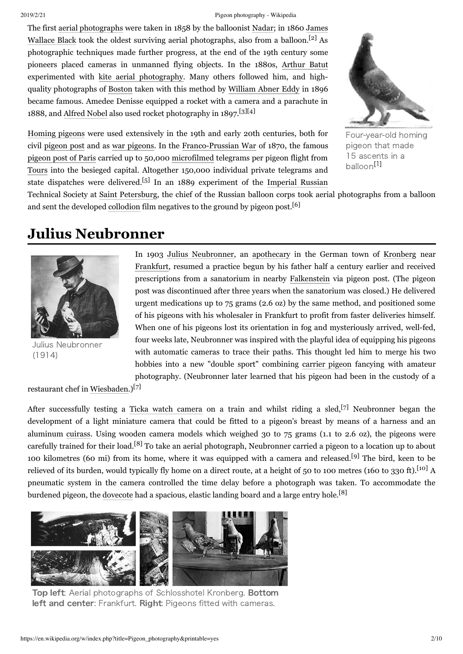#### 2019/2/21 Pigeon photography - Wikipedia

The first aerial [photographs](https://en.wikipedia.org/wiki/Aerial_photography) were taken in 1858 by the balloonist [Nadar;](https://en.wikipedia.org/wiki/Nadar_(photographer)) in 1860 James Wallace Black took the oldest surviving aerial [photographs,](https://en.wikipedia.org/wiki/James_Wallace_Black) also from a balloon.<sup>[\[2\]](#page-5-1)</sup> As photographic techniques made further progress, at the end of the 19th century some pioneers placed cameras in unmanned flying objects. In the 1880s, [Arthur](https://en.wikipedia.org/wiki/Arthur_Batut) Batut experimented with kite aerial [photography.](https://en.wikipedia.org/wiki/Kite_aerial_photography) Many others followed him, and highquality photographs of [Boston](https://en.wikipedia.org/wiki/Boston) taken with this method by [William](https://en.wikipedia.org/wiki/William_Abner_Eddy) Abner Eddy in 1896 became famous. Amedee Denisse equipped a rocket with a camera and a parachute in 1888, and [Alfred](https://en.wikipedia.org/wiki/Alfred_Nobel) Nobel also used rocket photography in 1897. [\[3\]](#page-5-2)[\[4\]](#page-5-3)



[Homing](https://en.wikipedia.org/wiki/Homing_pigeon) pigeons were used extensively in the 19th and early 20th centuries, both for civil [pigeon](https://en.wikipedia.org/wiki/Pigeon_post) post and as war [pigeons](https://en.wikipedia.org/wiki/War_pigeon). In the [Franco-Prussian](https://en.wikipedia.org/wiki/Franco-Prussian_War) War of 1870, the famous [pigeon](https://en.wikipedia.org/wiki/Pigeon_post#Pigeon_post_of_Paris) post of Paris carried up to 50,000 [microfilmed](https://en.wikipedia.org/wiki/Microform) telegrams per pigeon flight from [Tours](https://en.wikipedia.org/wiki/Tours) into the besieged capital. Altogether 150,000 individual private telegrams and state dispatches were delivered.<sup>[\[5\]](#page-5-4)</sup> In an 1889 experiment of the [Imperial](https://en.wikipedia.org/wiki/Imperial_Russia) Russian

Four-year-old homing pigeon that made 15 ascents in a balloon<sup>[\[1\]](#page-5-10)</sup>

Technical Society at Saint [Petersburg](https://en.wikipedia.org/wiki/Saint_Petersburg), the chief of the Russian balloon corps took aerial photographs from a balloon and sent the developed [collodion](https://en.wikipedia.org/wiki/Collodion) film negatives to the ground by pigeon post.<sup>[\[6\]](#page-5-5)</sup>

### <span id="page-1-0"></span>**Julius Neubronner**



Julius Neubronner (1914)

In 1903 Julius [Neubronner,](https://en.wikipedia.org/wiki/Julius_Neubronner) an [apothecary](https://en.wikipedia.org/wiki/Apothecary) in the German town of [Kronberg](https://en.wikipedia.org/wiki/Kronberg_im_Taunus) near [Frankfurt,](https://en.wikipedia.org/wiki/Frankfurt) resumed a practice begun by his father half a century earlier and received prescriptions from a sanatorium in nearby [Falkenstein](https://en.wikipedia.org/wiki/K%C3%B6nigstein_im_Taunus) via pigeon post. (The pigeon post was discontinued after three years when the sanatorium was closed.) He delivered urgent medications up to 75 grams (2.6 oz) by the same method, and positioned some of his pigeons with his wholesaler in Frankfurt to profit from faster deliveries himself. When one of his pigeons lost its orientation in fog and mysteriously arrived, well-fed, four weeks late, Neubronner was inspired with the playful idea of equipping his pigeons with automatic cameras to trace their paths. This thought led him to merge his two hobbies into a new "double sport" combining carrier [pigeon](https://en.wikipedia.org/wiki/Carrier_pigeon) fancying with amateur photography. (Neubronner later learned that his pigeon had been in the custody of a

restaurant chef in [Wiesbaden.](https://en.wikipedia.org/wiki/Wiesbaden)) [\[7\]](#page-5-6)

After successfully testing a Ticka watch [camera](https://en.wikipedia.org/wiki/Subminiature_photography) on a train and whilst riding a sled, [\[7\]](#page-5-6) Neubronner began the development of a light miniature camera that could be fitted to a pigeon's breast by means of a harness and an aluminum [cuirass](https://en.wikipedia.org/wiki/Cuirass). Using wooden camera models which weighed 30 to 75 grams (1.1 to 2.6 oz), the pigeons were carefully trained for their load.<sup>[\[8\]](#page-5-7)</sup> To take an aerial photograph, Neubronner carried a pigeon to a location up to about 100 kilometres (60 mi) from its home, where it was equipped with a camera and released.<sup>[\[9\]](#page-5-8)</sup> The bird, keen to be relieved of its burden, would typically fly home on a direct route, at a height of 50 to 100 metres (160 to 330 ft).<sup>[\[10\]](#page-5-9)</sup> A pneumatic system in the camera controlled the time delay before a photograph was taken. To accommodate the burdened pigeon, the [dovecote](https://en.wikipedia.org/wiki/Dovecote) had a spacious, elastic landing board and a large entry hole.<sup>[\[8\]](#page-5-7)</sup>



Top left: Aerial photographs of [Schlosshotel Kronberg.](https://en.wikipedia.org/wiki/Schlosshotel_Kronberg) Bottom left and center: [Frankfurt.](https://en.wikipedia.org/wiki/Frankfurt) Right: Pigeons fitted with cameras.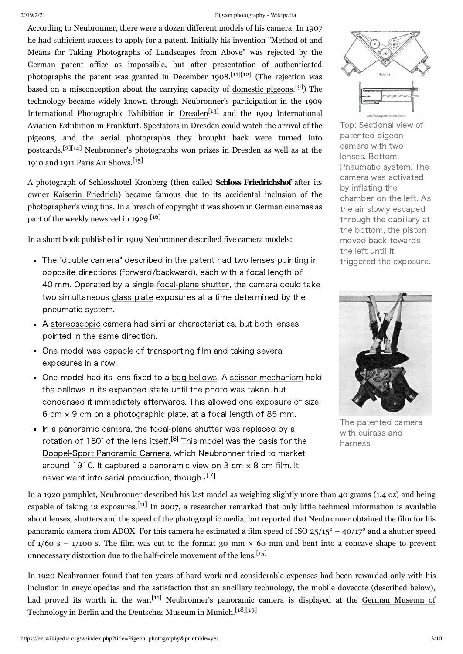#### 2019/2/21 Pigeon photography - Wikipedia

According to Neubronner, there were a dozen different models of his camera. In 1907 he had sufficient success to apply for a patent. Initially his invention "Method of and Means for Taking Photographs of Landscapes from Above" was rejected by the German patent office as impossible, but after presentation of authenticated photographs the patent was granted in December 1908.<sup>[\[11\]](#page-5-11)[\[12\]](#page-5-12)</sup> (The rejection was based on a misconception about the carrying capacity of [domestic](https://en.wikipedia.org/wiki/Domestic_Pigeon) pigeons.<sup>[\[9\]](#page-5-8)</sup>) The technology became widely known through Neubronner's participation in the 1909 International Photographic Exhibition in [Dresden](https://en.wikipedia.org/wiki/Dresden)<sup>[\[13\]](#page-5-13)</sup> and the 1909 International Aviation Exhibition in Frankfurt. Spectators in Dresden could watch the arrival of the pigeons, and the aerial photographs they brought back were turned into postcards. [\[2\]](#page-5-1)[\[14\]](#page-6-0) Neubronner's photographs won prizes in Dresden as well as at the 1910 and 1911 Paris Air [Shows.](https://en.wikipedia.org/wiki/Paris_Air_Show) [\[15\]](#page-6-1)

A photograph of [Schlosshotel](https://en.wikipedia.org/wiki/Schlosshotel_Kronberg) Kronberg (then called **Schloss Friedrichshof** after its owner Kaiserin [Friedrich\)](https://en.wikipedia.org/wiki/Victoria,_Princess_Royal) became famous due to its accidental inclusion of the photographer's wing tips. In a breach of copyright it was shown in German cinemas as part of the weekly [newsreel](https://en.wikipedia.org/wiki/Newsreel) in 1929.<sup>[\[16\]](#page-6-2)</sup>

In a short book published in 1909 Neubronner described five camera models:

- The "double camera" described in the patent had two lenses pointing in opposite directions (forward/backward), each with a [focal length](https://en.wikipedia.org/wiki/Focal_length) of 40 mm. Operated by a single focal-plane shutter, the camera could take two simultaneous [glass](https://en.wikipedia.org/wiki/Photographic_plate) plate exposures at a time determined by the pneumatic system.
- A [stereoscopic](https://en.wikipedia.org/wiki/Stereoscopy) camera had similar characteristics, but both lenses pointed in the same direction.
- One model was capable of transporting film and taking several exposures in a row.
- One model had its lens fixed to a bag [bellows](https://en.wikipedia.org/wiki/Bellows_(photography)). A scissor [mechanism](https://en.wikipedia.org/wiki/Scissor_mechanism) held the bellows in its expanded state until the photo was taken, but condensed it immediately afterwards. This allowed one exposure of size 6 cm × 9 cm on a photographic plate, at a focal length of 85 mm.
- In a panoramic camera, the focal-plane shutter was replaced by a rotation of 180° of the lens itself.<sup>[\[8\]](#page-5-7)</sup> This model was the basis for the [Doppel‒Sport](https://en.wikipedia.org/wiki/Doppel-Sport_Panoramic_Camera) Panoramic Camera, which Neubronner tried to market around 1910. It captured a panoramic view on 3 cm × 8 cm film. It never went into serial production, though.<sup>[\[17\]](#page-6-3)</sup>

In a 1920 pamphlet, Neubronner described his last model as weighing slightly more than 40 grams (1.4 oz) and being capable of taking 12 exposures.<sup>[\[11\]](#page-5-11)</sup> In 2007, a researcher remarked that only little technical information is available about lenses, shutters and the speed of the photographic media, but reported that Neubronner obtained the film for his panoramic camera from [ADOX.](https://en.wikipedia.org/wiki/ADOX) For this camera he estimated a film [speed](https://en.wikipedia.org/wiki/Film_speed) of ISO  $25/15^{\circ}$  –  $40/17^{\circ}$  and a shutter speed of  $1/60$  s –  $1/100$  s. The film was cut to the format 30 mm  $\times$  60 mm and bent into a concave shape to prevent unnecessary distortion due to the half-circle movement of the lens.<sup>[\[15\]](#page-6-1)</sup>

In 1920 Neubronner found that ten years of hard work and considerable expenses had been rewarded only with his inclusion in encyclopedias and the satisfaction that an ancillary technology, the mobile dovecote (described below), had proved its worth in the war.<sup>[\[11\]](#page-5-11)</sup> [Neubronner's](https://en.wikipedia.org/wiki/German_Museum_of_Technology) panoramic camera is displayed at the German Museum of Technology in Berlin and the [Deutsches](https://en.wikipedia.org/wiki/Deutsches_Museum) Museum in Munich.<sup>[\[18\]](#page-6-4)[\[19\]](#page-6-5)</sup>



Top: Sectional view of patented pigeon camera with two lenses. Bottom: Pneumatic system. The camera was activated by inflating the chamber on the left. As the air slowly escaped through the capillary at the bottom, the piston moved back towards the left until it triggered the exposure.



The patented camera with cuirass and harness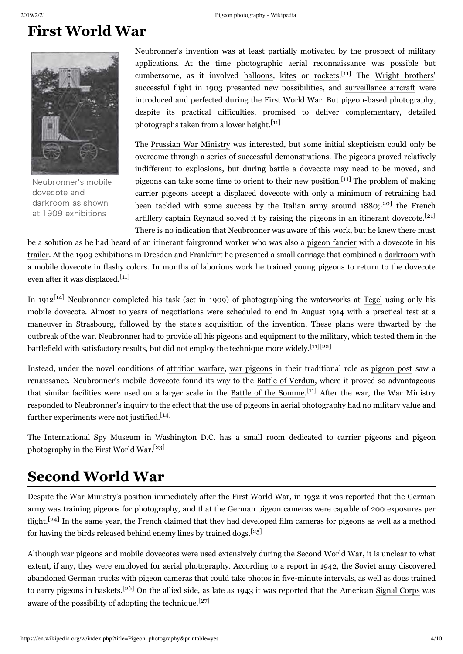### <span id="page-3-0"></span>**First World War**



Neubronner's mobile [dovecote](https://en.wikipedia.org/wiki/Dovecote) and darkroom as shown at 1909 exhibitions

Neubronner's invention was at least partially motivated by the prospect of military applications. At the time photographic aerial reconnaissance was possible but cumbersome, as it involved [balloons](https://en.wikipedia.org/wiki/Balloon_(aircraft)), [kites](https://en.wikipedia.org/wiki/Kite) or [rockets](https://en.wikipedia.org/wiki/Rocket).<sup>[\[11\]](#page-5-11)</sup> The Wright [brothers](https://en.wikipedia.org/wiki/Wright_brothers)' successful flight in 1903 presented new possibilities, and [surveillance](https://en.wikipedia.org/wiki/Surveillance_aircraft) aircraft were introduced and perfected during the First World War. But pigeon-based photography, despite its practical difficulties, promised to deliver complementary, detailed photographs taken from a lower height.<sup>[\[11\]](#page-5-11)</sup>

The [Prussian](https://en.wikipedia.org/wiki/Prussian_Minister_of_War) War Ministry was interested, but some initial skepticism could only be overcome through a series of successful demonstrations. The pigeons proved relatively indifferent to explosions, but during battle a dovecote may need to be moved, and pigeons can take some time to orient to their new position.<sup>[\[11\]](#page-5-11)</sup> The problem of making carrier pigeons accept a displaced dovecote with only a minimum of retraining had been tackled with some success by the Italian army around 1880;<sup>[\[20\]](#page-6-6)</sup> the French artillery captain Reynaud solved it by raising the pigeons in an itinerant dovecote.<sup>[\[21\]](#page-6-7)</sup> There is no indication that Neubronner was aware of this work, but he knew there must

be a solution as he had heard of an itinerant fairground worker who was also a pigeon [fancier](https://en.wikipedia.org/wiki/Pigeon_keeping) with a dovecote in his [trailer](https://en.wikipedia.org/wiki/Travel_trailer). At the 1909 exhibitions in Dresden and Frankfurt he presented a small carriage that combined a [darkroom](https://en.wikipedia.org/wiki/Darkroom) with a mobile dovecote in flashy colors. In months of laborious work he trained young pigeons to return to the dovecote even after it was displaced.<sup>[\[11\]](#page-5-11)</sup>

In 1912<sup>[\[14\]](#page-6-0)</sup> Neubronner completed his task (set in 1909) of photographing the waterworks at [Tegel](https://en.wikipedia.org/wiki/Tegel) using only his mobile dovecote. Almost 10 years of negotiations were scheduled to end in August 1914 with a practical test at a maneuver in [Strasbourg](https://en.wikipedia.org/wiki/Strasbourg), followed by the state's acquisition of the invention. These plans were thwarted by the outbreak of the war. Neubronner had to provide all his pigeons and equipment to the military, which tested them in the battlefield with satisfactory results, but did not employ the technique more widely.<sup>[\[11\]](#page-5-11)[\[22\]](#page-6-8)</sup>

Instead, under the novel conditions of [attrition](https://en.wikipedia.org/wiki/Attrition_warfare) warfare, war [pigeons](https://en.wikipedia.org/wiki/War_pigeon#World_War_I) in their traditional role as [pigeon](https://en.wikipedia.org/wiki/Pigeon_post) post saw a renaissance. Neubronner's mobile dovecote found its way to the Battle of [Verdun,](https://en.wikipedia.org/wiki/Battle_of_Verdun) where it proved so advantageous that similar facilities were used on a larger scale in the Battle of the [Somme.](https://en.wikipedia.org/wiki/Battle_of_the_Somme)<sup>[\[11\]](#page-5-11)</sup> After the war, the War Ministry responded to Neubronner's inquiry to the effect that the use of pigeons in aerial photography had no military value and further experiments were not justified.<sup>[\[14\]](#page-6-0)</sup>

The [International](https://en.wikipedia.org/wiki/International_Spy_Museum) Spy Museum in [Washington](https://en.wikipedia.org/wiki/Washington_D.C.) D.C. has a small room dedicated to carrier pigeons and pigeon photography in the First World War.<sup>[\[23\]](#page-6-9)</sup>

### <span id="page-3-1"></span>**Second World War**

Despite the War Ministry's position immediately after the First World War, in 1932 it was reported that the German army was training pigeons for photography, and that the German pigeon cameras were capable of 200 exposures per flight.<sup>[\[24\]](#page-6-10)</sup> In the same year, the French claimed that they had developed film cameras for pigeons as well as a method for having the birds released behind enemy lines by [trained](https://en.wikipedia.org/wiki/Dogs_in_warfare) dogs.<sup>[\[25\]](#page-6-11)</sup>

Although war [pigeons](https://en.wikipedia.org/wiki/War_pigeon) and mobile dovecotes were used extensively during the Second World War, it is unclear to what extent, if any, they were employed for aerial photography. According to a report in 1942, the [Soviet](https://en.wikipedia.org/wiki/Red_army) army discovered abandoned German trucks with pigeon cameras that could take photos in five-minute intervals, as well as dogs trained to carry pigeons in baskets.<sup>[\[26\]](#page-6-12)</sup> On the allied side, as late as 1943 it was reported that the American [Signal](https://en.wikipedia.org/wiki/Signal_Corps_(United_States_Army)) Corps was aware of the possibility of adopting the technique.<sup>[\[27\]](#page-6-13)</sup>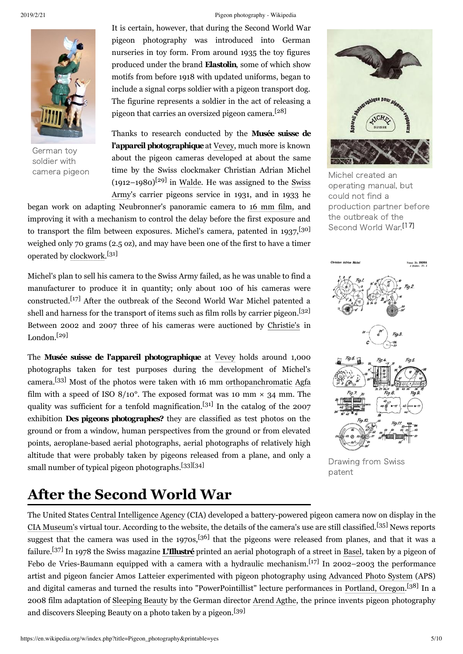

German toy soldier with

#### 2019/2/21 Pigeon photography - Wikipedia

It is certain, however, that during the Second World War pigeon photography was introduced into German nurseries in toy form. From around 1935 the toy figures produced under the brand **Elastolin**, some of which show motifs from before 1918 with updated uniforms, began to include a signal corps soldier with a pigeon transport dog. The figurine represents a soldier in the act of releasing a pigeon that carries an oversized pigeon camera. [\[28\]](#page-6-14)

Thanks to research conducted by the **Musée suisse de l'appareil photographique**at [Vevey,](https://en.wikipedia.org/wiki/Vevey) much more is known about the pigeon cameras developed at about the same camera pigeon **time by the Swiss clockmaker Christian Adrian Michel** Michel created an  $(1912-1980)^{[29]}$  $(1912-1980)^{[29]}$  $(1912-1980)^{[29]}$  in [Walde.](https://en.wikipedia.org/wiki/Schmiedrued) He was assigned to the Swiss Army's carrier pigeons service in 1931, and in 1933 he

began work on adapting Neubronner's panoramic camera to 16 [mm](https://en.wikipedia.org/wiki/16_mm_film) film, and improving it with a mechanism to control the delay before the first exposure and to transport the film between exposures. Michel's camera, patented in 1937,<sup>[\[30\]](#page-7-0)</sup> weighed only 70 grams (2.5 oz), and may have been one of the first to have a timer operated by [clockwork](https://en.wikipedia.org/wiki/Clockwork). [\[31\]](#page-7-1)

Michel's plan to sell his camera to the Swiss Army failed, as he was unable to find a manufacturer to produce it in quantity; only about 100 of his cameras were constructed. [\[17\]](#page-6-3) After the outbreak of the Second World War Michel patented a shell and harness for the transport of items such as film rolls by carrier pigeon.<sup>[\[32\]](#page-7-2)</sup> Between 2002 and 2007 three of his cameras were auctioned by [Christie's](https://en.wikipedia.org/wiki/Christie%27s) in London. [\[29\]](#page-6-15)

The **Musée suisse de l'appareil photographique** at [Vevey](https://en.wikipedia.org/wiki/Vevey) holds around 1,000 photographs taken for test purposes during the development of Michel's camera. [\[33\]](#page-7-3) Most of the photos were taken with 16 mm [orthopanchromatic](https://en.wikipedia.org/w/index.php?title=Orthopanchromatic_film&action=edit&redlink=1) [Agfa](https://en.wikipedia.org/wiki/Agfa-Gevaert) film with a speed of ISO  $8/10^{\circ}$ . The exposed format was 10 mm  $\times$  34 mm. The quality was sufficient for a tenfold magnification.<sup>[\[31\]](#page-7-1)</sup> In the catalog of the 2007 exhibition **Des pigeons photographes?** they are classified as test photos on the ground or from a window, human perspectives from the ground or from elevated points, aeroplane-based aerial photographs, aerial photographs of relatively high altitude that were probably taken by pigeons released from a plane, and only a small number of typical pigeon photographs. [\[33\]](#page-7-3)[\[34\]](#page-7-4)

## <span id="page-4-0"></span>**After the Second World War**



operating manual, but could not find a production partner before the outbreak of the Second World War.<sup>[\[17\]](#page-6-3)</sup>



Drawing from Swiss patent

The United States Central [Intelligence](https://en.wikipedia.org/wiki/Central_Intelligence_Agency) Agency (CIA) developed a battery-powered pigeon camera now on display in the CIA [Museum](https://en.wikipedia.org/wiki/CIA_Museum)'s virtual tour. According to the website, the details of the camera's use are still classified.<sup>[\[35\]](#page-7-5)</sup> News reports suggest that the camera was used in the 1970s,<sup>[\[36\]](#page-7-6)</sup> that the pigeons were released from planes, and that it was a failure. [\[37\]](#page-7-7) In 1978 the Swiss magazine **[L'Illustré](https://en.wikipedia.org/wiki/L%27Illustr%C3%A9)** printed an aerial photograph of a street in [Basel](https://en.wikipedia.org/wiki/Basel), taken by a pigeon of Febo de Vries-Baumann equipped with a camera with a hydraulic mechanism. [\[17\]](#page-6-3) In 2002–2003 the performance artist and pigeon fancier Amos Latteier experimented with pigeon photography using [Advanced](https://en.wikipedia.org/wiki/Advanced_Photo_System) Photo System (APS) and digital cameras and turned the results into "PowerPointillist" lecture performances in [Portland,](https://en.wikipedia.org/wiki/Portland,_Oregon) Oregon.<sup>[\[38\]](#page-7-8)</sup> In a 2008 film adaptation of [Sleeping](https://en.wikipedia.org/wiki/Sleeping_Beauty) Beauty by the German director [Arend](https://en.wikipedia.org/w/index.php?title=Arend_Agthe&action=edit&redlink=1) Agthe, the prince invents pigeon photography and discovers Sleeping Beauty on a photo taken by a pigeon. [\[39\]](#page-7-9)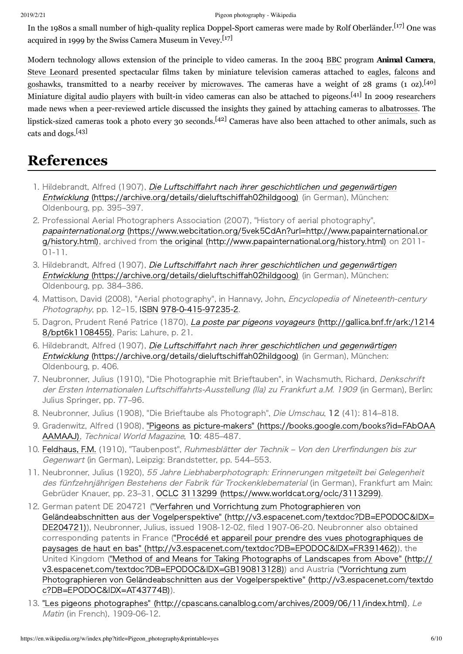In the 1980s a small number of high-quality replica Doppel-Sport cameras were made by Rolf Oberländer.<sup>[\[17\]](#page-6-3)</sup> One was acquired in 1999 by the Swiss Camera Museum in Vevey.<sup>[\[17\]](#page-6-3)</sup>

Modern technology allows extension of the principle to video cameras. In the 2004 [BBC](https://en.wikipedia.org/wiki/BBC) program **Animal Camera**, Steve [Leonard](https://en.wikipedia.org/wiki/Steve_Leonard) presented spectacular films taken by miniature television cameras attached to [eagles,](https://en.wikipedia.org/wiki/Eagle) [falcons](https://en.wikipedia.org/wiki/Falcon) and [goshawks](https://en.wikipedia.org/wiki/Northern_Goshawk), transmitted to a nearby receiver by [microwaves.](https://en.wikipedia.org/wiki/Microwave) The cameras have a weight of 28 grams (1 oz).<sup>[\[40\]](#page-7-10)</sup> Miniature digital audio [players](https://en.wikipedia.org/wiki/Digital_audio_player) with built-in video cameras can also be attached to pigeons.<sup>[\[41\]](#page-7-11)</sup> In 2009 researchers made news when a peer-reviewed article discussed the insights they gained by attaching cameras to [albatrosses](https://en.wikipedia.org/wiki/Albatross). The lipstick-sized cameras took a photo every 30 seconds.<sup>[\[42\]](#page-8-1)</sup> Cameras have also been attached to other animals, such as cats and dogs. [\[43\]](#page-8-2)

## <span id="page-5-0"></span>**References**

- <span id="page-5-10"></span>1. Hildebrandt, Alfred (1907), Die Luftschiffahrt nach ihrer geschichtlichen und gegenwärtigen Entwicklung [\(https://archive.org/details/dieluftschiffah02hildgoog\)](https://archive.org/details/dieluftschiffah02hildgoog) (in German), München: Oldenbourg, pp. 395–397.
- <span id="page-5-1"></span>2. Professional Aerial Photographers Association (2007), "History of aerial photography", papainternational.org [\(https://www.webcitation.org/5vek5CdAn?url=http://www.papainternational.or](https://www.webcitation.org/5vek5CdAn?url=http://www.papainternational.org/history.html) g/history.html), archived from the original [\(http://www.papainternational.org/history.html\)](http://www.papainternational.org/history.html) on 2011- $01 - 11.$
- <span id="page-5-2"></span>3. Hildebrandt, Alfred (1907), Die Luftschiffahrt nach ihrer geschichtlichen und gegenwärtigen Entwicklung [\(https://archive.org/details/dieluftschiffah02hildgoog\)](https://archive.org/details/dieluftschiffah02hildgoog) (in German), München: Oldenbourg, pp. 384–386.
- <span id="page-5-3"></span>4. Mattison, David (2008), "Aerial photography", in Hannavy, John, *Encyclopedia of Nineteenth-century* Photography, pp. 12–15, [ISBN](https://en.wikipedia.org/wiki/International_Standard_Book_Number) 978-0-415-97235-2.
- <span id="page-5-4"></span>5. Dagron, Prudent René Patrice (1870), La poste par pigeons voyageurs [\(http://gallica.bnf.fr/ark:/1214](http://gallica.bnf.fr/ark:/12148/bpt6k1108455) 8/bpt6k1108455), Paris: Lahure, p. 21.
- <span id="page-5-5"></span>6. Hildebrandt, Alfred (1907), Die Luftschiffahrt nach ihrer geschichtlichen und gegenwärtigen Entwicklung [\(https://archive.org/details/dieluftschiffah02hildgoog\)](https://archive.org/details/dieluftschiffah02hildgoog) (in German), München: Oldenbourg, p. 406.
- <span id="page-5-6"></span>7. Neubronner, Julius (1910), "Die Photographie mit Brieftauben", in Wachsmuth, Richard, Denkschrift der Ersten Internationalen Luftschiffahrts-Ausstellung (Ila) zu Frankfurt a.M. 1909 (in German), Berlin: Julius Springer, pp. 77–96.
- <span id="page-5-7"></span>8. Neubronner, Julius (1908), "Die Brieftaube als Photograph", Die Umschau, 12 (41): 814-818.
- <span id="page-5-8"></span>9. Gradenwitz, Alfred (1908), "Pigeons as picture-makers" [\(https://books.google.com/books?id=FAbOAA](https://books.google.com/books?id=FAbOAAAAMAAJ) AAMAAJ), Technical World Magazine, 10: 485-487.
- <span id="page-5-9"></span>10. [Feldhaus,](https://en.wikipedia.org/wiki/Franz_Maria_Feldhaus) F.M. (1910), "Taubenpost", Ruhmesblätter der Technik – Von den Urerfindungen bis zur Gegenwart (in German), Leipzig: Brandstetter, pp. 544–553.
- <span id="page-5-11"></span>11. Neubronner, Julius (1920), 55 Jahre Liebhaberphotograph: Erinnerungen mitgeteilt bei Gelegenheit des fünfzehnjährigen Bestehens der Fabrik für Trockenklebematerial (in German), Frankfurt am Main: Gebrüder Knauer, pp. 23–31, [OCLC](https://en.wikipedia.org/wiki/OCLC) 3113299 [\(https://www.worldcat.org/oclc/3113299\).](https://www.worldcat.org/oclc/3113299)
- <span id="page-5-12"></span>12. German patent DE 204721 ("Verfahren und Vorrichtung zum Photographieren von Geländeabschnitten aus der Vogelperspektive" [\(http://v3.espacenet.com/textdoc?DB=EPODOC&IDX=](http://v3.espacenet.com/textdoc?DB=EPODOC&IDX=DE204721) DE204721)), Neubronner, Julius, issued 1908-12-02, filed 1907-06-20. Neubronner also obtained corresponding patents in France ("Procédé et appareil pour prendre des vues photographiques de paysages de haut en bas" [\(http://v3.espacenet.com/textdoc?DB=EPODOC&IDX=FR391462\)\),](http://v3.espacenet.com/textdoc?DB=EPODOC&IDX=FR391462) the United Kingdom ("Method of and Means for Taking Photographs of Landscapes from Above" (http:// [v3.espacenet.com/textdoc?DB=EPODOC&IDX=GB190813128\)\)](http://v3.espacenet.com/textdoc?DB=EPODOC&IDX=GB190813128) and Austria ("Vorrichtung zum Photographieren von Geländeabschnitten aus der Vogelperspektive" (http://v3.espacenet.com/textdo c?DB=EPODOC&IDX=AT43774B)).
- <span id="page-5-13"></span>13. "Les pigeons photographes" [\(http://cpascans.canalblog.com/archives/2009/06/11/index.html\)](http://cpascans.canalblog.com/archives/2009/06/11/index.html), Le *Matin* (in French), 1909-06-12.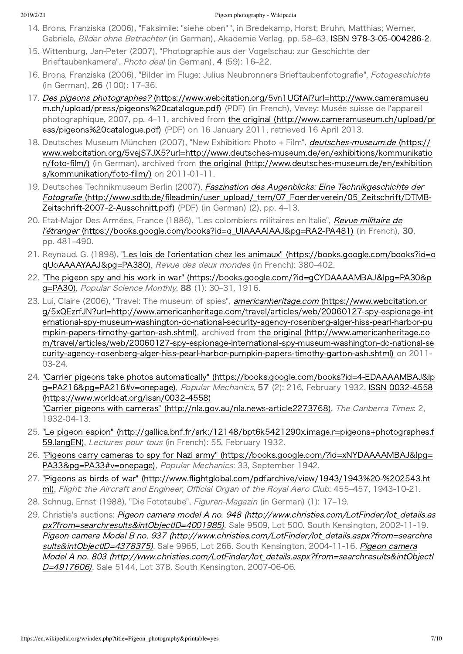- <span id="page-6-0"></span>14. Brons, Franziska (2006), "Faksimile: "siehe oben"", in Bredekamp, Horst; Bruhn, Matthias; Werner, Gabriele, Bilder ohne Betrachter (in German), Akademie Verlag, pp. 58-63, [ISBN](https://en.wikipedia.org/wiki/International_Standard_Book_Number) 978-3-05-004286-2.
- <span id="page-6-1"></span>15. Wittenburg, Jan-Peter (2007), "Photographie aus der Vogelschau: zur Geschichte der Brieftaubenkamera", Photo deal (in German), 4 (59): 16–22.
- <span id="page-6-2"></span>16. Brons, Franziska (2006), "Bilder im Fluge: Julius Neubronners Brieftaubenfotografie", Fotogeschichte (in German), 26 (100): 17–36.
- <span id="page-6-3"></span>17. Des pigeons photographes? [\(https://www.webcitation.org/5vn1UGfAi?url=http://www.cameramuseu](https://www.webcitation.org/5vn1UGfAi?url=http://www.cameramuseum.ch/upload/press/pigeons%20catalogue.pdf) m.ch/upload/press/pigeons%20catalogue.pdf) (PDF) (in French), Vevey: Musée suisse de l'appareil photographique, 2007, pp. 4–11, archived from the original [\(http://www.cameramuseum.ch/upload/pr](http://www.cameramuseum.ch/upload/press/pigeons%20catalogue.pdf) ess/pigeons%20catalogue.pdf) (PDF) on 16 January 2011, retrieved 16 April 2013.
- <span id="page-6-4"></span>18. Deutsches Museum München (2007), "New Exhibition: Photo + Film", *deutsches-museum.de* (https:// www.webcitation.org/5vejS7JX5?url=http://www.deutsches-museum.de/en/exhibitions/kommunikatio n/foto-film/) (in German), archived from the original (http://www.deutsches-museum.de/en/exhibition s/kommunikation/foto-film/) on 2011-01-11.
- <span id="page-6-5"></span>19. Deutsches Technikmuseum Berlin (2007), Faszination des Augenblicks: Eine Technikgeschichte der Fotografie (http://www.sdtb.de/fileadmin/user upload/ tem/07 Foerderverein/05 Zeitschrift/DTMB-Zeitschrift-2007-2-Ausschnitt.pdf) (PDF) (in German) (2), pp. 4-13.
- <span id="page-6-6"></span>20. Etat-Major Des Armées, France (1886), "Les colombiers militaires en Italie", Revue militaire de l'étranger (https://books.google.com/books?id=q UIAAAAIAAJ&pg=RA2-PA481) (in French), 30, pp. 481–490.
- <span id="page-6-7"></span>21. Reynaud, G. (1898), "Les lois de l'orientation chez les animaux" [\(https://books.google.com/books?id=o](https://books.google.com/books?id=oqUoAAAAYAAJ&pg=PA380) qUoAAAAYAAJ&pg=PA380), Revue des deux mondes (in French): 380–402.
- <span id="page-6-8"></span>22. "The pigeon spy and his work in war" [\(https://books.google.com/?id=gCYDAAAAMBAJ&lpg=PA30&p](https://books.google.com/?id=gCYDAAAAMBAJ&lpg=PA30&pg=PA30) g=PA30), Popular Science Monthly, 88 (1): 30-31, 1916.
- <span id="page-6-9"></span>23. Lui, Claire (2006), "Travel: The museum of spies", *americanheritage.com* (https://www.webcitation.or g/5xQEzrfJN?url=http://www.americanheritage.com/travel/articles/web/20060127-spy-espionage-int ernational-spy-museum-washington-dc-national-security-agency-rosenberg-alger-hiss-pearl-harbor-pu mpkin-papers-timothy-garton-ash.shtml), archived from the original (http://www.americanheritage.co m/travel/articles/web/20060127-spy-espionage-international-spy-museum-washington-dc-national-se curity-agency-rosenberg-alger-hiss-pearl-harbor-pumpkin-papers-timothy-garton-ash.shtml) on 2011-03-24.
- <span id="page-6-10"></span>24. "Carrier pigeons take photos automatically" [\(https://books.google.com/books?id=4‒EDAAAAMBAJ&lp](https://books.google.com/books?id=4-EDAAAAMBAJ&lpg=PA216&pg=PA216#v=onepage) g=PA216&pg=PA216#v=onepage), Popular Mechanics, 57 (2): 216, February 1932, [ISSN](https://en.wikipedia.org/wiki/International_Standard_Serial_Number) 0032-4558 (https://www.worldcat.org/issn/0032-4558) "Carrier pigeons with cameras" (http://nla.gov.au/nla.news-article2273768), The Canberra Times: 2, 1932‒04‒13.
- <span id="page-6-11"></span>25. "Le pigeon espion" [\(http://gallica.bnf.fr/ark:/12148/bpt6k5421290x.image.r=pigeons+photographes.f](http://gallica.bnf.fr/ark:/12148/bpt6k5421290x.image.r=pigeons+photographes.f59.langEN) 59.langEN), Lectures pour tous (in French): 55, February 1932.
- <span id="page-6-12"></span>26. "Pigeons carry cameras to spy for Nazi army" [\(https://books.google.com/?id=xNYDAAAAMBAJ&lpg=](https://books.google.com/?id=xNYDAAAAMBAJ&lpg=PA33&pg=PA33#v=onepage) PA33&pg=PA33#v=onepage), Popular Mechanics: 33, September 1942.
- <span id="page-6-13"></span>27. "Pigeons as birds of war" (http://www.flightglobal.com/pdfarchive/view/1943/1943%20-%202543.ht ml), Flight: the Aircraft and Engineer, Official Organ of the Royal Aero Club: 455-457, 1943-10-21.
- <span id="page-6-14"></span>28. Schnug, Ernst (1988), "Die Fototaube", Figuren-Magazin (in German) (1): 17-19.
- <span id="page-6-15"></span>29. Christie's auctions: Pigeon camera model A no. 948 (http://www.christies.com/LotFinder/lot\_details.as px?from=searchresults&intObjectID=4001985). Sale 9509, Lot 500. South Kensington, 2002-11-19. Pigeon camera Model B no. 937 (http://www.christies.com/LotFinder/lot details.aspx?from=searchre sults&intObjectID=4378375). Sale 9965, Lot 266. South Kensington, 2004-11-16. Pigeon camera Model A no. 803 [\(http://www.christies.com/LotFinder/lot̲details.aspx?from=searchresults&intObjectI](http://www.christies.com/LotFinder/lot_details.aspx?from=searchresults&intObjectID=4917606) D=4917606). Sale 5144, Lot 378. South Kensington, 2007-06-06.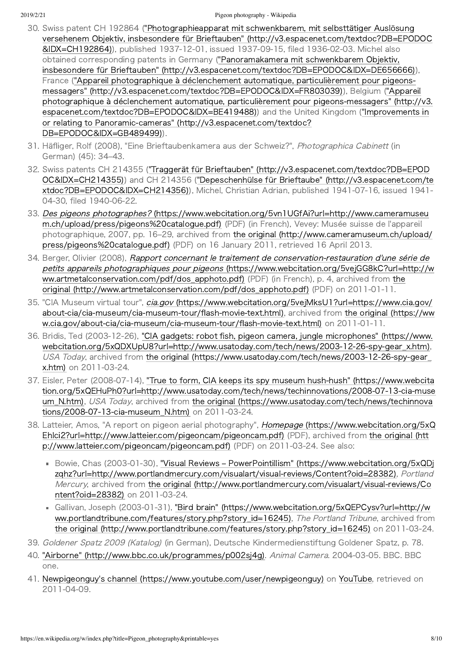- <span id="page-7-0"></span>30. Swiss patent CH 192864 ("Photographieapparat mit schwenkbarem, mit selbsttätiger Auslösung versehenem Objektiv, insbesondere für Brieftauben" [\(http://v3.espacenet.com/textdoc?DB=EPODOC](http://v3.espacenet.com/textdoc?DB=EPODOC&IDX=CH192864) &IDX=CH192864)), published 1937-12-01, issued 1937-09-15, filed 1936-02-03. Michel also obtained corresponding patents in Germany ("Panoramakamera mit schwenkbarem Objektiv, insbesondere für Brieftauben" [\(http://v3.espacenet.com/textdoc?DB=EPODOC&IDX=DE656666\)](http://v3.espacenet.com/textdoc?DB=EPODOC&IDX=DE656666)), France ("Appareil photographique à déclenchement automatique, particulièrement pour pigeonsmessagers" [\(http://v3.espacenet.com/textdoc?DB=EPODOC&IDX=FR803039\)\),](http://v3.espacenet.com/textdoc?DB=EPODOC&IDX=FR803039) Belgium ("Appareil photographique à déclenchement automatique, particulièrement pour pigeons-messagers" (http://v3. [espacenet.com/textdoc?DB=EPODOC&IDX=BE419488\)\)](http://v3.espacenet.com/textdoc?DB=EPODOC&IDX=GB489499) and the United Kingdom ("Improvements in or relating to Panoramic-cameras" (http://v3.espacenet.com/textdoc? DB=EPODOC&IDX=GB489499)).
- <span id="page-7-1"></span>31. Häfliger, Rolf (2008), "Eine Brieftaubenkamera aus der Schweiz?", Photographica Cabinett (in German) (45): 34–43.
- <span id="page-7-2"></span>32. Swiss patents CH 214355 ("Traggerät für Brieftauben" [\(http://v3.espacenet.com/textdoc?DB=EPOD](http://v3.espacenet.com/textdoc?DB=EPODOC&IDX=CH214355) OC&IDX=CH214355)) and CH 214356 ("Depeschenhülse für Brieftaube" (http://v3.espacenet.com/te [xtdoc?DB=EPODOC&IDX=CH214356\)\),](http://v3.espacenet.com/textdoc?DB=EPODOC&IDX=CH214356) Michel, Christian Adrian, published 1941-07-16, issued 1941-04-30, filed 1940-06-22.
- <span id="page-7-3"></span>33. Des pigeons photographes? [\(https://www.webcitation.org/5vn1UGfAi?url=http://www.cameramuseu](https://www.webcitation.org/5vn1UGfAi?url=http://www.cameramuseum.ch/upload/press/pigeons%20catalogue.pdf) m.ch/upload/press/pigeons%20catalogue.pdf) (PDF) (in French), Vevey: Musée suisse de l'appareil photographique, 2007, pp. 16–29, archived from the original [\(http://www.cameramuseum.ch/upload/](http://www.cameramuseum.ch/upload/press/pigeons%20catalogue.pdf) press/pigeons%20catalogue.pdf) (PDF) on 16 January 2011, retrieved 16 April 2013.
- <span id="page-7-4"></span>34. Berger, Olivier (2008), Rapport concernant le traitement de conservation-restauration d'une série de petits appareils photographiques pour pigeons [\(https://www.webcitation.org/5vejGG8kC?url=http://w](https://www.webcitation.org/5vejGG8kC?url=http://www.artmetalconservation.com/pdf/dos_apphoto.pdf) ww.artmetalconservation.com/pdf/dos\_apphoto.pdf) (PDF) (in French), p. 4, archived from the original (http://www.artmetalconservation.com/pdf/dos apphoto.pdf) (PDF) on 2011-01-11.
- <span id="page-7-5"></span>35. "CIA Museum virtual tour", cia.gov [\(https://www.webcitation.org/5vejMksU1?url=https://www.cia.gov/](https://www.webcitation.org/5vejMksU1?url=https://www.cia.gov/about-cia/cia-museum/cia-museum-tour/flash-movie-text.html) about-cia/cia-museum/cia-museum-tour/flash-movie-text.html), archived from the original (https://ww w.cia.gov/about-cia/cia-museum/cia-museum-tour/flash-movie-text.html) on 2011-01-11.
- <span id="page-7-6"></span>36. Bridis, Ted (2003-12-26), "CIA gadgets: robot fish, pigeon camera, jungle microphones" (https://www. webcitation.org/5xQDXUpU8?url=http://www.usatoday.com/tech/news/2003-12-26-spy-gear\_x.htm), USA Today, archived from the original (https://www.usatoday.com/tech/news/2003-12-26-spy-gear x.htm) on 2011-03-24.
- <span id="page-7-7"></span>37. Eisler, Peter (2008-07-14), "True to form, CIA keeps its spy museum hush-hush" (https://www.webcita tion.org/5xQEHuPh0?url=http://www.usatoday.com/tech/news/techinnovations/2008-07-13-cia-muse um\_N.htm), USA Today, archived from the original [\(https://www.usatoday.com/tech/news/techinnova](https://www.usatoday.com/tech/news/techinnovations/2008-07-13-cia-museum_N.htm) tions/2008-07-13-cia-museum\_N.htm) on 2011-03-24.
- <span id="page-7-8"></span>38. Latteier, Amos, "A report on pigeon aerial photography", Homepage (https://www.webcitation.org/5xQ [EhIci2?url=http://www.latteier.com/pigeoncam/pigeoncam.pdf\)](https://www.webcitation.org/5xQEhIci2?url=http://www.latteier.com/pigeoncam/pigeoncam.pdf) (PDF), archived from the original (htt p://www.latteier.com/pigeoncam/pigeoncam.pdf) (PDF) on 2011-03-24. See also:
	- Bowie, Chas (2003-01-30), "Visual Reviews PowerPointillism" (https://www.webcitation.org/5xQDj zqhz?url=http://www.portlandmercury.com/visualart/visual-reviews/Content?oid=28382), Portland Mercury, archived from the original (http://www.portlandmercury.com/visualart/visual-reviews/Co ntent?oid=28382) on 2011-03-24.
	- Gallivan, Joseph (2003‒01‒31), "Bird brain" (https://www.webcitation.org/5xQEPCysv?url=http://w ww.portlandtribune.com/features/story.php?story id=16245), The Portland Tribune, archived from the original (http://www.portlandtribune.com/features/story.php?story\_id=16245) on 2011-03-24.
- <span id="page-7-9"></span>39. Goldener Spatz 2009 (Katalog) (in German), Deutsche Kindermedienstiftung Goldener Spatz, p. 78.
- <span id="page-7-10"></span>40. "Airborne" [\(http://www.bbc.co.uk/programmes/p002sj4g\).](http://www.bbc.co.uk/programmes/p002sj4g) Animal Camera. 2004-03-05. BBC. BBC one.
- <span id="page-7-11"></span>41. Newpigeonguy's channel [\(https://www.youtube.com/user/newpigeonguy\)](https://www.youtube.com/user/newpigeonguy) on [YouTube,](https://en.wikipedia.org/wiki/YouTube) retrieved on 2011‒04‒09.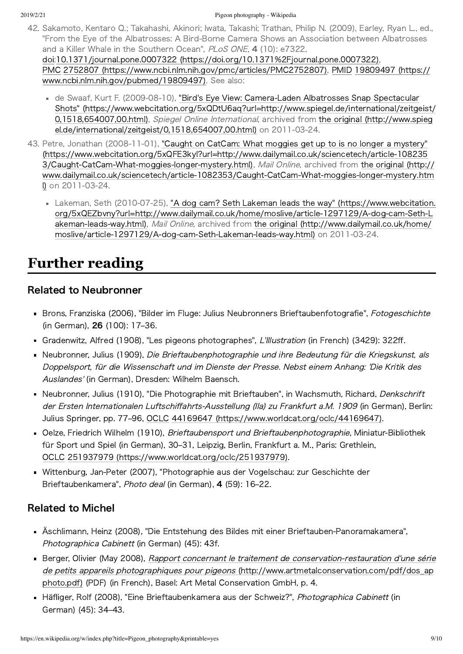- <span id="page-8-1"></span>42. Sakamoto, Kentaro Q.; Takahashi, Akinori; Iwata, Takashi; Trathan, Philip N. (2009), Earley, Ryan L., ed., "From the Eye of the Albatrosses: A Bird‒Borne Camera Shows an Association between Albatrosses and a Killer Whale in the Southern Ocean", PLoS ONE, 4 (10): e7322, [doi:](https://en.wikipedia.org/wiki/Digital_object_identifier)10.1371/journal.pone.0007322 [\(https://doi.org/10.1371%2Fjournal.pone.0007322\),](https://doi.org/10.1371%2Fjournal.pone.0007322) [PMC](https://en.wikipedia.org/wiki/PubMed_Central) 2752807 [\(https://www.ncbi.nlm.nih.gov/pmc/articles/PMC2752807\)](https://www.ncbi.nlm.nih.gov/pmc/articles/PMC2752807)[,](https://www.ncbi.nlm.nih.gov/pubmed/19809497) [PMID](https://en.wikipedia.org/wiki/PubMed_Identifier) 19809497 (https:// www.ncbi.nlm.nih.gov/pubmed/19809497). See also:
	- de Swaaf, Kurt F. (2009-08-10), "Bird's Eye View: Camera-Laden Albatrosses Snap Spectacular Shots" [\(https://www.webcitation.org/5xQDtU6aq?url=http://www.spiegel.de/international/zeitgeist/](https://www.webcitation.org/5xQDtU6aq?url=http://www.spiegel.de/international/zeitgeist/0,1518,654007,00.html) 0,1518,654007,00.html), Spiegel Online International, archived from the original (http://www.spieg [el.de/international/zeitgeist/0,1518,654007,00.html\)](http://www.spiegel.de/international/zeitgeist/0,1518,654007,00.html) on 2011-03-24.
- <span id="page-8-2"></span>43. Petre, Jonathan (2008-11-01), "Caught on CatCam: What moggies get up to is no longer a mystery" [\(https://www.webcitation.org/5xQFE3kyl?url=http://www.dailymail.co.uk/sciencetech/article‒108235](https://www.webcitation.org/5xQFE3kyl?url=http://www.dailymail.co.uk/sciencetech/article-1082353/Caught-CatCam-What-moggies-longer-mystery.html) 3/Caught-CatCam-What-moggies-longer-mystery.html), Mail Online, archived from the original (http:// www.dailymail.co.uk/sciencetech/article-1082353/Caught-CatCam-What-moggies-longer-mystery.htm l) on 2011-03-24.
	- Lakeman, Seth (2010-07-25), "A dog cam? Seth Lakeman leads the way" (https://www.webcitation. org/5xQEZbvny?url=http://www.dailymail.co.uk/home/moslive/article-1297129/A-dog-cam-Seth-L akeman-leads-way.html), Mail Online, archived from the original (http://www.dailymail.co.uk/home/ moslive/article-1297129/A-dog-cam-Seth-Lakeman-leads-way.html) on 2011-03-24.

# <span id="page-8-0"></span>**Further reading**

### Related to Neubronner

- Brons, Franziska (2006), "Bilder im Fluge: Julius Neubronners Brieftaubenfotografie", Fotogeschichte (in German), 26 (100): 17–36.
- Gradenwitz, Alfred (1908), "Les pigeons photographes", L'Illustration (in French) (3429): 322ff.
- Neubronner, Julius (1909), Die Brieftaubenphotographie und ihre Bedeutung für die Kriegskunst, als Doppelsport, für die Wissenschaft und im Dienste der Presse. Nebst einem Anhang: 'Die Kritik des Auslandes' (in German), Dresden: Wilhelm Baensch.
- Neubronner, Julius (1910), "Die Photographie mit Brieftauben", in Wachsmuth, Richard, Denkschrift der Ersten Internationalen Luftschiffahrts-Ausstellung (Ila) zu Frankfurt a.M. 1909 (in German), Berlin: Julius Springer, pp. 77–96, [OCLC](https://en.wikipedia.org/wiki/OCLC) 44169647 [\(https://www.worldcat.org/oclc/44169647\)](https://www.worldcat.org/oclc/44169647).
- Oelze, Friedrich Wilhelm (1910), Brieftaubensport und Brieftaubenphotographie, Miniatur-Bibliothek für Sport und Spiel (in German), 30–31, Leipzig, Berlin, Frankfurt a. M., Paris: Grethlein, [OCLC](https://en.wikipedia.org/wiki/OCLC) 251937979 [\(https://www.worldcat.org/oclc/251937979\).](https://www.worldcat.org/oclc/251937979)
- Wittenburg, Jan‒Peter (2007), "Photographie aus der Vogelschau: zur Geschichte der Brieftaubenkamera", Photo deal (in German), 4 (59): 16-22.

### Related to Michel

- Äschlimann, Heinz (2008), "Die Entstehung des Bildes mit einer Brieftauben-Panoramakamera", Photographica Cabinett (in German) (45): 43f.
- Berger, Olivier (May 2008), Rapport concernant le traitement de conservation-restauration d'une série de petits appareils photographiques pour pigeons (http://www.artmetalconservation.com/pdf/dos\_ap photo.pdf) (PDF) (in French), Basel: Art Metal Conservation GmbH, p. 4.
- Häfliger, Rolf (2008), "Eine Brieftaubenkamera aus der Schweiz?", Photographica Cabinett (in German) (45): 34–43.